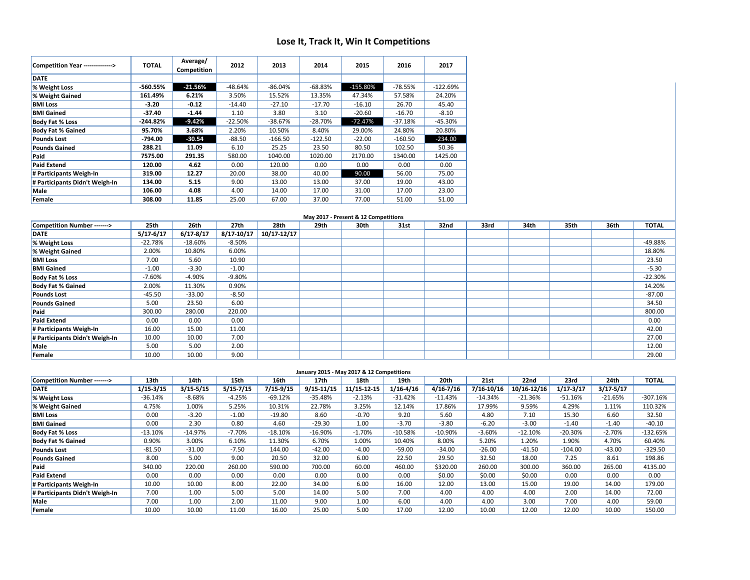## **Lose It, Track It, Win It Competitions**

| Competition Year --------------> | <b>TOTAL</b> | Average/<br>Competition | 2012      | 2013      | 2014      | 2015        | 2016      | 2017       |
|----------------------------------|--------------|-------------------------|-----------|-----------|-----------|-------------|-----------|------------|
| <b>DATE</b>                      |              |                         |           |           |           |             |           |            |
| % Weight Loss                    | -560.55%     | $-21.56%$               | $-48.64%$ | $-86.04%$ | $-68.83%$ | $-155.80\%$ | $-78.55%$ | $-122.69%$ |
| % Weight Gained                  | 161.49%      | 6.21%                   | 3.50%     | 15.52%    | 13.35%    | 47.34%      | 57.58%    | 24.20%     |
| <b>BMI Loss</b>                  | $-3.20$      | $-0.12$                 | $-14.40$  | $-27.10$  | $-17.70$  | $-16.10$    | 26.70     | 45.40      |
| <b>BMI Gained</b>                | $-37.40$     | $-1.44$                 | 1.10      | 3.80      | 3.10      | $-20.60$    | $-16.70$  | $-8.10$    |
| <b>Body Fat % Loss</b>           | $-244.82%$   | $-9.42%$                | $-22.50%$ | $-38.67%$ | $-28.70%$ | $-72.47%$   | $-37.18%$ | $-45.30%$  |
| <b>Body Fat % Gained</b>         | 95.70%       | 3.68%                   | 2.20%     | 10.50%    | 8.40%     | 29.00%      | 24.80%    | 20.80%     |
| <b>Pounds Lost</b>               | $-794.00$    | $-30.54$                | $-88.50$  | $-166.50$ | $-122.50$ | $-22.00$    | $-160.50$ | $-234.00$  |
| <b>Pounds Gained</b>             | 288.21       | 11.09                   | 6.10      | 25.25     | 23.50     | 80.50       | 102.50    | 50.36      |
| Paid                             | 7575.00      | 291.35                  | 580.00    | 1040.00   | 1020.00   | 2170.00     | 1340.00   | 1425.00    |
| <b>Paid Extend</b>               | 120.00       | 4.62                    | 0.00      | 120.00    | 0.00      | 0.00        | 0.00      | 0.00       |
| # Participants Weigh-In          | 319.00       | 12.27                   | 20.00     | 38.00     | 40.00     | 90.00       | 56.00     | 75.00      |
| # Participants Didn't Weigh-In   | 134.00       | 5.15                    | 9.00      | 13.00     | 13.00     | 37.00       | 19.00     | 43.00      |
| Male                             | 106.00       | 4.08                    | 4.00      | 14.00     | 17.00     | 31.00       | 17.00     | 23.00      |
| Female                           | 308.00       | 11.85                   | 25.00     | 67.00     | 37.00     | 77.00       | 51.00     | 51.00      |

| May 2017 - Present & 12 Competitions |               |               |                |             |      |      |      |      |      |      |      |      |              |
|--------------------------------------|---------------|---------------|----------------|-------------|------|------|------|------|------|------|------|------|--------------|
| Competition Number ------->          | 25th          | 26th          | 27th           | 28th        | 29th | 30th | 31st | 32nd | 33rd | 34th | 35th | 36th | <b>TOTAL</b> |
| <b>DATE</b>                          | $5/17 - 6/17$ | $6/17 - 8/17$ | $8/17 - 10/17$ | 10/17-12/17 |      |      |      |      |      |      |      |      |              |
| % Weight Loss                        | $-22.78%$     | $-18.60%$     | $-8.50%$       |             |      |      |      |      |      |      |      |      | -49.88%      |
| % Weight Gained                      | 2.00%         | 10.80%        | 6.00%          |             |      |      |      |      |      |      |      |      | 18.80%       |
| <b>BMI Loss</b>                      | 7.00          | 5.60          | 10.90          |             |      |      |      |      |      |      |      |      | 23.50        |
| <b>BMI Gained</b>                    | $-1.00$       | $-3.30$       | $-1.00$        |             |      |      |      |      |      |      |      |      | $-5.30$      |
| <b>Body Fat % Loss</b>               | $-7.60%$      | $-4.90%$      | $-9.80%$       |             |      |      |      |      |      |      |      |      | $-22.30%$    |
| <b>Body Fat % Gained</b>             | 2.00%         | 11.30%        | 0.90%          |             |      |      |      |      |      |      |      |      | 14.20%       |
| <b>Pounds Lost</b>                   | $-45.50$      | $-33.00$      | $-8.50$        |             |      |      |      |      |      |      |      |      | $-87.00$     |
| <b>Pounds Gained</b>                 | 5.00          | 23.50         | 6.00           |             |      |      |      |      |      |      |      |      | 34.50        |
| Paid                                 | 300.00        | 280.00        | 220.00         |             |      |      |      |      |      |      |      |      | 800.00       |
| <b>Paid Extend</b>                   | 0.00          | 0.00          | 0.00           |             |      |      |      |      |      |      |      |      | 0.00         |
| # Participants Weigh-In              | 16.00         | 15.00         | 11.00          |             |      |      |      |      |      |      |      |      | 42.00        |
| # Participants Didn't Weigh-In       | 10.00         | 10.00         | 7.00           |             |      |      |      |      |      |      |      |      | 27.00        |
| Male                                 | 5.00          | 5.00          | 2.00           |             |      |      |      |      |      |      |      |      | 12.00        |
| Female                               | 10.00         | 10.00         | 9.00           |             |      |      |      |      |      |      |      |      | 29.00        |

| January 2015 - May 2017 & 12 Competitions |               |               |           |           |            |             |               |               |            |             |               |               |              |
|-------------------------------------------|---------------|---------------|-----------|-----------|------------|-------------|---------------|---------------|------------|-------------|---------------|---------------|--------------|
| Competition Number ------->               | 13th          | 14th          | 15th      | 16th      | 17th       | 18th        | 19th          | 20th          | 21st       | 22nd        | 23rd          | 24th          | <b>TOTAL</b> |
| <b>DATE</b>                               | $1/15 - 3/15$ | $3/15 - 5/15$ | 5/15-7/15 | 7/15-9/15 | 9/15-11/15 | 11/15-12-15 | $1/16 - 4/16$ | $4/16 - 7/16$ | 7/16-10/16 | 10/16-12/16 | $1/17 - 3/17$ | $3/17 - 5/17$ |              |
| % Weight Loss                             | $-36.14%$     | $-8.68%$      | $-4.25%$  | $-69.12%$ | $-35.48%$  | $-2.13%$    | $-31.42%$     | $-11.43%$     | $-14.34%$  | $-21.36%$   | $-51.16%$     | $-21.65%$     | $-307.16%$   |
| % Weight Gained                           | 4.75%         | 1.00%         | 5.25%     | 10.31%    | 22.78%     | 3.25%       | 12.14%        | 17.86%        | 17.99%     | 9.59%       | 4.29%         | 1.11%         | 110.32%      |
| <b>BMI Loss</b>                           | 0.00          | $-3.20$       | $-1.00$   | $-19.80$  | 8.60       | $-0.70$     | 9.20          | 5.60          | 4.80       | 7.10        | 15.30         | 6.60          | 32.50        |
| <b>BMI</b> Gained                         | 0.00          | 2.30          | 0.80      | 4.60      | -29.30     | 1.00        | $-3.70$       | $-3.80$       | $-6.20$    | $-3.00$     | $-1.40$       | $-1.40$       | $-40.10$     |
| <b>Body Fat % Loss</b>                    | $-13.10%$     | $-14.97%$     | $-7.70%$  | $-18.10%$ | $-16.90%$  | $-1.70%$    | $-10.58%$     | $-10.90%$     | $-3.60%$   | $-12.10%$   | $-20.30%$     | $-2.70%$      | $-132.65%$   |
| <b>Body Fat % Gained</b>                  | 0.90%         | 3.00%         | 6.10%     | 11.30%    | 6.70%      | 1.00%       | 10.40%        | 8.00%         | 5.20%      | 1.20%       | 1.90%         | 4.70%         | 60.40%       |
| <b>Pounds Lost</b>                        | $-81.50$      | $-31.00$      | $-7.50$   | 144.00    | $-42.00$   | $-4.00$     | $-59.00$      | $-34.00$      | $-26.00$   | $-41.50$    | $-104.00$     | $-43.00$      | $-329.50$    |
| <b>Pounds Gained</b>                      | 8.00          | 5.00          | 9.00      | 20.50     | 32.00      | 6.00        | 22.50         | 29.50         | 32.50      | 18.00       | 7.25          | 8.61          | 198.86       |
| Paid                                      | 340.00        | 220.00        | 260.00    | 590.00    | 700.00     | 60.00       | 460.00        | \$320.00      | 260.00     | 300.00      | 360.00        | 265.00        | 4135.00      |
| <b>Paid Extend</b>                        | 0.00          | 0.00          | 0.00      | 0.00      | 0.00       | 0.00        | 0.00          | \$0.00        | \$0.00     | \$0.00      | 0.00          | 0.00          | 0.00         |
| # Participants Weigh-In                   | 10.00         | 10.00         | 8.00      | 22.00     | 34.00      | 6.00        | 16.00         | 12.00         | 13.00      | 15.00       | 19.00         | 14.00         | 179.00       |
| # Participants Didn't Weigh-In            | 7.00          | 1.00          | 5.00      | 5.00      | 14.00      | 5.00        | 7.00          | 4.00          | 4.00       | 4.00        | 2.00          | 14.00         | 72.00        |
| Male                                      | 7.00          | 1.00          | 2.00      | 11.00     | 9.00       | 1.00        | 6.00          | 4.00          | 4.00       | 3.00        | 7.00          | 4.00          | 59.00        |
| Female                                    | 10.00         | 10.00         | 11.00     | 16.00     | 25.00      | 5.00        | 17.00         | 12.00         | 10.00      | 12.00       | 12.00         | 10.00         | 150.00       |